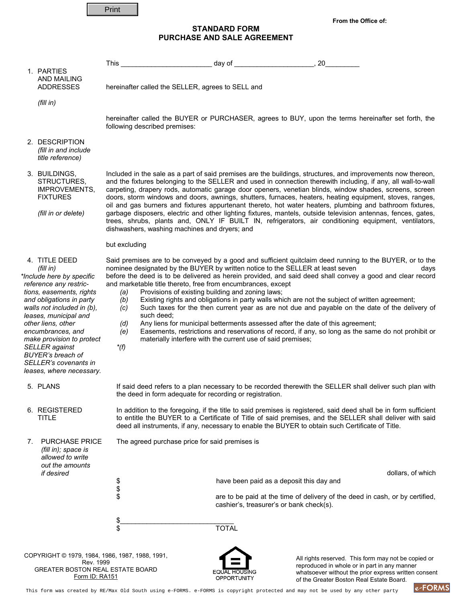Print

**From the Office of:** 

of the Greater Boston Real Estate Board.

e-FORMS

## **STANDARD FORM PURCHASE AND SALE AGREEMENT**

|                                                                                                                                           | This are a structured by the contract of the contract of the contract of the contract of the contract of the contract of the contract of the contract of the contract of the contract of the contract of the contract of the c | day of the contract of the contract of the contract of the contract of the contract of the contract of the contract of the contract of the contract of the contract of the contract of the contract of the contract of the con | 20                                                                                                                                                                                                                                                                                                                                                                                                                                                                                                                                                               |
|-------------------------------------------------------------------------------------------------------------------------------------------|--------------------------------------------------------------------------------------------------------------------------------------------------------------------------------------------------------------------------------|--------------------------------------------------------------------------------------------------------------------------------------------------------------------------------------------------------------------------------|------------------------------------------------------------------------------------------------------------------------------------------------------------------------------------------------------------------------------------------------------------------------------------------------------------------------------------------------------------------------------------------------------------------------------------------------------------------------------------------------------------------------------------------------------------------|
| 1. PARTIES<br><b>AND MAILING</b><br><b>ADDRESSES</b>                                                                                      |                                                                                                                                                                                                                                | hereinafter called the SELLER, agrees to SELL and                                                                                                                                                                              |                                                                                                                                                                                                                                                                                                                                                                                                                                                                                                                                                                  |
| (fillin)                                                                                                                                  |                                                                                                                                                                                                                                |                                                                                                                                                                                                                                |                                                                                                                                                                                                                                                                                                                                                                                                                                                                                                                                                                  |
|                                                                                                                                           | following described premises:                                                                                                                                                                                                  |                                                                                                                                                                                                                                | hereinafter called the BUYER or PURCHASER, agrees to BUY, upon the terms hereinafter set forth, the                                                                                                                                                                                                                                                                                                                                                                                                                                                              |
| 2. DESCRIPTION<br>(fill in and include<br>title reference)                                                                                |                                                                                                                                                                                                                                |                                                                                                                                                                                                                                |                                                                                                                                                                                                                                                                                                                                                                                                                                                                                                                                                                  |
| 3. BUILDINGS,<br>STRUCTURES,<br>IMPROVEMENTS,<br><b>FIXTURES</b>                                                                          |                                                                                                                                                                                                                                |                                                                                                                                                                                                                                | Included in the sale as a part of said premises are the buildings, structures, and improvements now thereon,<br>and the fixtures belonging to the SELLER and used in connection therewith including, if any, all wall-to-wall<br>carpeting, drapery rods, automatic garage door openers, venetian blinds, window shades, screens, screen<br>doors, storm windows and doors, awnings, shutters, furnaces, heaters, heating equipment, stoves, ranges,<br>oil and gas burners and fixtures appurtenant thereto, hot water heaters, plumbing and bathroom fixtures, |
| (fill in or delete)                                                                                                                       |                                                                                                                                                                                                                                | dishwashers, washing machines and dryers; and                                                                                                                                                                                  | garbage disposers, electric and other lighting fixtures, mantels, outside television antennas, fences, gates,<br>trees, shrubs, plants and, ONLY IF BUILT IN, refrigerators, air conditioning equipment, ventilators,                                                                                                                                                                                                                                                                                                                                            |
|                                                                                                                                           | but excluding                                                                                                                                                                                                                  |                                                                                                                                                                                                                                |                                                                                                                                                                                                                                                                                                                                                                                                                                                                                                                                                                  |
| 4. TITLE DEED<br>(fill in)<br>*Include here by specific<br>reference any restric-<br>tions, easements, rights<br>and obligations in party | (a)<br>(b)                                                                                                                                                                                                                     | nominee designated by the BUYER by written notice to the SELLER at least seven<br>and marketable title thereto, free from encumbrances, except<br>Provisions of existing building and zoning laws;                             | Said premises are to be conveyed by a good and sufficient quitclaim deed running to the BUYER, or to the<br>days<br>before the deed is to be delivered as herein provided, and said deed shall convey a good and clear record<br>Existing rights and obligations in party walls which are not the subject of written agreement;                                                                                                                                                                                                                                  |
| walls not included in (b),<br>leases, municipal and                                                                                       | (c)<br>such deed:                                                                                                                                                                                                              |                                                                                                                                                                                                                                | Such taxes for the then current year as are not due and payable on the date of the delivery of                                                                                                                                                                                                                                                                                                                                                                                                                                                                   |
| other liens, other<br>encumbrances, and<br>make provision to protect                                                                      | (d)<br>(e)                                                                                                                                                                                                                     | materially interfere with the current use of said premises;                                                                                                                                                                    | Any liens for municipal betterments assessed after the date of this agreement;<br>Easements, restrictions and reservations of record, if any, so long as the same do not prohibit or                                                                                                                                                                                                                                                                                                                                                                             |
| SELLER against<br>BUYER's breach of<br>SELLER's covenants in<br>leases, where necessary.                                                  | $*(f)$                                                                                                                                                                                                                         |                                                                                                                                                                                                                                |                                                                                                                                                                                                                                                                                                                                                                                                                                                                                                                                                                  |
| 5. PLANS                                                                                                                                  |                                                                                                                                                                                                                                | the deed in form adequate for recording or registration.                                                                                                                                                                       | If said deed refers to a plan necessary to be recorded therewith the SELLER shall deliver such plan with                                                                                                                                                                                                                                                                                                                                                                                                                                                         |
| 6. REGISTERED<br><b>TITLE</b>                                                                                                             |                                                                                                                                                                                                                                |                                                                                                                                                                                                                                | In addition to the foregoing, if the title to said premises is registered, said deed shall be in form sufficient<br>to entitle the BUYER to a Certificate of Title of said premises, and the SELLER shall deliver with said<br>deed all instruments, if any, necessary to enable the BUYER to obtain such Certificate of Title.                                                                                                                                                                                                                                  |
| <b>PURCHASE PRICE</b><br>7.<br>(fill in); space is<br>allowed to write<br>out the amounts                                                 |                                                                                                                                                                                                                                | The agreed purchase price for said premises is                                                                                                                                                                                 |                                                                                                                                                                                                                                                                                                                                                                                                                                                                                                                                                                  |
| if desired                                                                                                                                |                                                                                                                                                                                                                                |                                                                                                                                                                                                                                | dollars, of which<br>have been paid as a deposit this day and                                                                                                                                                                                                                                                                                                                                                                                                                                                                                                    |
|                                                                                                                                           | \$<br>\$                                                                                                                                                                                                                       |                                                                                                                                                                                                                                | are to be paid at the time of delivery of the deed in cash, or by certified,<br>cashier's, treasurer's or bank check(s).                                                                                                                                                                                                                                                                                                                                                                                                                                         |
|                                                                                                                                           | \$                                                                                                                                                                                                                             |                                                                                                                                                                                                                                |                                                                                                                                                                                                                                                                                                                                                                                                                                                                                                                                                                  |
|                                                                                                                                           | \$                                                                                                                                                                                                                             | <b>TOTAL</b>                                                                                                                                                                                                                   |                                                                                                                                                                                                                                                                                                                                                                                                                                                                                                                                                                  |
| COPYRIGHT © 1979, 1984, 1986, 1987, 1988, 1991,                                                                                           |                                                                                                                                                                                                                                |                                                                                                                                                                                                                                |                                                                                                                                                                                                                                                                                                                                                                                                                                                                                                                                                                  |
| Rev. 1999<br>GREATER BOSTON REAL ESTATE BOARD<br>Form ID: RA151                                                                           |                                                                                                                                                                                                                                | <b>EQUAL HOUSING</b><br><b>OPPORTUNITY</b>                                                                                                                                                                                     | All rights reserved. This form may not be copied or<br>reproduced in whole or in part in any manner<br>whatsoever without the prior express written consent<br>of the Greater Boston Real Estate Board.                                                                                                                                                                                                                                                                                                                                                          |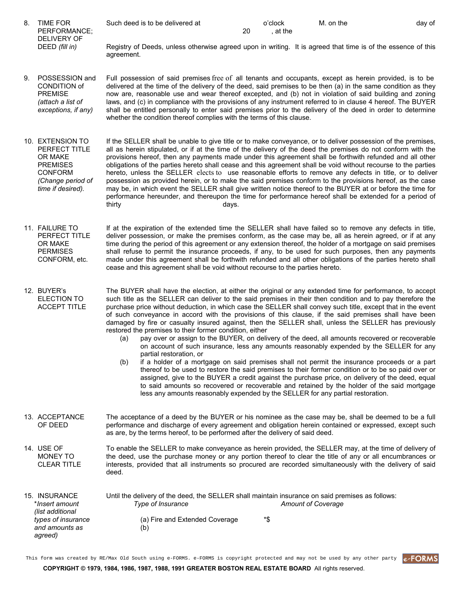| 8. | TIME FOR<br>PERFORMANCE;<br>DELIVERY OF                                                                                     | Such deed is to be delivered at                                                                                                                                                                                                                                                                                                                                                                                                                                                                                                                                                                                                                                                                                                                                                                                                                                                                                                                                                                                                                                                                                                                                                                                                                                                                                                                    | o'clock<br>20<br>, at the | M. on the                 | day of |
|----|-----------------------------------------------------------------------------------------------------------------------------|----------------------------------------------------------------------------------------------------------------------------------------------------------------------------------------------------------------------------------------------------------------------------------------------------------------------------------------------------------------------------------------------------------------------------------------------------------------------------------------------------------------------------------------------------------------------------------------------------------------------------------------------------------------------------------------------------------------------------------------------------------------------------------------------------------------------------------------------------------------------------------------------------------------------------------------------------------------------------------------------------------------------------------------------------------------------------------------------------------------------------------------------------------------------------------------------------------------------------------------------------------------------------------------------------------------------------------------------------|---------------------------|---------------------------|--------|
|    | DEED (fill in)                                                                                                              | Registry of Deeds, unless otherwise agreed upon in writing. It is agreed that time is of the essence of this<br>agreement.                                                                                                                                                                                                                                                                                                                                                                                                                                                                                                                                                                                                                                                                                                                                                                                                                                                                                                                                                                                                                                                                                                                                                                                                                         |                           |                           |        |
| 9. | POSSESSION and<br>CONDITION of<br><b>PREMISE</b><br>(attach a list of<br>exceptions, if any)                                | Full possession of said premises free of all tenants and occupants, except as herein provided, is to be<br>delivered at the time of the delivery of the deed, said premises to be then (a) in the same condition as they<br>now are, reasonable use and wear thereof excepted, and (b) not in violation of said building and zoning<br>laws, and (c) in compliance with the provisions of any instrument referred to in clause 4 hereof. The BUYER<br>shall be entitled personally to enter said premises prior to the delivery of the deed in order to determine<br>whether the condition thereof complies with the terms of this clause.                                                                                                                                                                                                                                                                                                                                                                                                                                                                                                                                                                                                                                                                                                         |                           |                           |        |
|    | 10. EXTENSION TO<br>PERFECT TITLE<br>OR MAKE<br><b>PREMISES</b><br><b>CONFORM</b><br>(Change period of<br>time if desired). | If the SELLER shall be unable to give title or to make conveyance, or to deliver possession of the premises,<br>all as herein stipulated, or if at the time of the delivery of the deed the premises do not conform with the<br>provisions hereof, then any payments made under this agreement shall be forthwith refunded and all other<br>obligations of the parties hereto shall cease and this agreement shall be void without recourse to the parties<br>hereto, unless the SELLER elects to use reasonable efforts to remove any defects in title, or to deliver<br>possession as provided herein, or to make the said premises conform to the provisions hereof, as the case<br>may be, in which event the SELLER shall give written notice thereof to the BUYER at or before the time for<br>performance hereunder, and thereupon the time for performance hereof shall be extended for a period of<br>thirty<br>days.                                                                                                                                                                                                                                                                                                                                                                                                                     |                           |                           |        |
|    | 11. FAILURE TO<br>PERFECT TITLE<br>OR MAKE<br><b>PERMISES</b><br>CONFORM, etc.                                              | If at the expiration of the extended time the SELLER shall have failed so to remove any defects in title,<br>deliver possession, or make the premises conform, as the case may be, all as herein agreed, or if at any<br>time during the period of this agreement or any extension thereof, the holder of a mortgage on said premises<br>shall refuse to permit the insurance proceeds, if any, to be used for such purposes, then any payments<br>made under this agreement shall be forthwith refunded and all other obligations of the parties hereto shall<br>cease and this agreement shall be void without recourse to the parties hereto.                                                                                                                                                                                                                                                                                                                                                                                                                                                                                                                                                                                                                                                                                                   |                           |                           |        |
|    | 12. BUYER's<br>ELECTION TO<br><b>ACCEPT TITLE</b>                                                                           | The BUYER shall have the election, at either the original or any extended time for performance, to accept<br>such title as the SELLER can deliver to the said premises in their then condition and to pay therefore the<br>purchase price without deduction, in which case the SELLER shall convey such title, except that in the event<br>of such conveyance in accord with the provisions of this clause, if the said premises shall have been<br>damaged by fire or casualty insured against, then the SELLER shall, unless the SELLER has previously<br>restored the premises to their former condition, either<br>pay over or assign to the BUYER, on delivery of the deed, all amounts recovered or recoverable<br>(a)<br>on account of such insurance, less any amounts reasonably expended by the SELLER for any<br>partial restoration, or<br>(b) if a holder of a mortgage on said premises shall not permit the insurance proceeds or a part<br>thereof to be used to restore the said premises to their former condition or to be so paid over or<br>assigned, give to the BUYER a credit against the purchase price, on delivery of the deed, equal<br>to said amounts so recovered or recoverable and retained by the holder of the said mortgage<br>less any amounts reasonably expended by the SELLER for any partial restoration. |                           |                           |        |
|    | 13. ACCEPTANCE<br>OF DEED                                                                                                   | The acceptance of a deed by the BUYER or his nominee as the case may be, shall be deemed to be a full<br>performance and discharge of every agreement and obligation herein contained or expressed, except such<br>as are, by the terms hereof, to be performed after the delivery of said deed.                                                                                                                                                                                                                                                                                                                                                                                                                                                                                                                                                                                                                                                                                                                                                                                                                                                                                                                                                                                                                                                   |                           |                           |        |
|    | 14. USE OF<br>MONEY TO<br><b>CLEAR TITLE</b>                                                                                | To enable the SELLER to make conveyance as herein provided, the SELLER may, at the time of delivery of<br>the deed, use the purchase money or any portion thereof to clear the title of any or all encumbrances or<br>interests, provided that all instruments so procured are recorded simultaneously with the delivery of said<br>deed.                                                                                                                                                                                                                                                                                                                                                                                                                                                                                                                                                                                                                                                                                                                                                                                                                                                                                                                                                                                                          |                           |                           |        |
|    | 15. INSURANCE<br>*Insert amount<br>(list additional<br>types of insurance<br>and amounts as<br>agreed)                      | Until the delivery of the deed, the SELLER shall maintain insurance on said premises as follows:<br>Type of Insurance<br>(a) Fire and Extended Coverage<br>(b)                                                                                                                                                                                                                                                                                                                                                                                                                                                                                                                                                                                                                                                                                                                                                                                                                                                                                                                                                                                                                                                                                                                                                                                     | *\$                       | <b>Amount of Coverage</b> |        |

This form was created by RE/Max Old South using e-FORMS. e-FORMS is copyright protected and may not be used by any other party  $e$ -FORMS

**COPYRIGHT © 1979, 1984, 1986, 1987, 1988, 1991 GREATER BOSTON REAL ESTATE BOARD** All rights reserved.

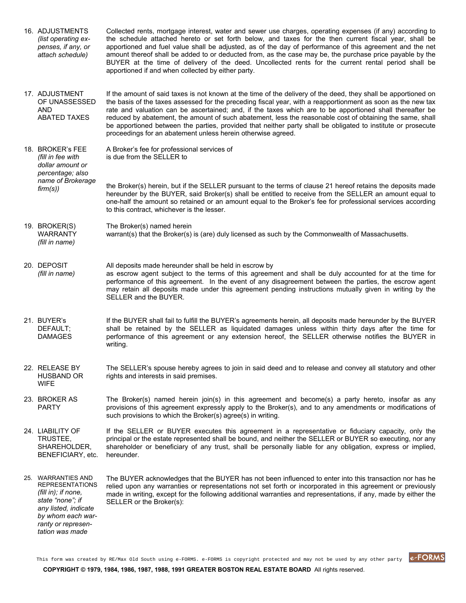16. ADJUSTMENTS *(list operating ex penses, if any, or attach schedule)*  17. ADJUSTMENT OF UNASSESSED AND ABATED TAXES 18. BROKER's FEE  *(fill in fee with dollar amount or percentage; also name of Brokerage firm(s))*  19. BROKER(S) **WARRANTY** *(fill in name)* 20. DEPOSIT *(fill in name)*  21. BUYER's DEFAULT; DAMAGES 22. RELEASE BY HUSBAND OR WIFE 23. BROKER AS PARTY 24. LIABILITY OF TRUSTEE, SHAREHOLDER, BENEFICIARY, etc. 25. WARRANTIES AND REPRESENTATIONS *(fill in); if none, state "none"; if any listed, indicate by whom each war ranty or represen tation was made*  Collected rents, mortgage interest, water and sewer use charges, operating expenses (if any) according to the schedule attached hereto or set forth below, and taxes for the then current fiscal year, shall be apportioned and fuel value shall be adjusted, as of the day of performance of this agreement and the net amount thereof shall be added to or deducted from, as the case may be, the purchase price payable by the BUYER at the time of delivery of the deed. Uncollected rents for the current rental period shall be apportioned if and when collected by either party. If the amount of said taxes is not known at the time of the delivery of the deed, they shall be apportioned on the basis of the taxes assessed for the preceding fiscal year, with a reapportionment as soon as the new tax rate and valuation can be ascertained; and, if the taxes which are to be apportioned shall thereafter be reduced by abatement, the amount of such abatement, less the reasonable cost of obtaining the same, shall be apportioned between the parties, provided that neither party shall be obligated to institute or prosecute proceedings for an abatement unless herein otherwise agreed. A Broker's fee for professional services of is due from the SELLER to the Broker(s) herein, but if the SELLER pursuant to the terms of clause 21 hereof retains the deposits made hereunder by the BUYER, said Broker(s) shall be entitled to receive from the SELLER an amount equal to one-half the amount so retained or an amount equal to the Broker's fee for professional services according to this contract, whichever is the lesser. The Broker(s) named herein warrant(s) that the Broker(s) is (are) duly licensed as such by the Commonwealth of Massachusetts. All deposits made hereunder shall be held in escrow by as escrow agent subject to the terms of this agreement and shall be duly accounted for at the time for performance of this agreement. In the event of any disagreement between the parties, the escrow agent may retain all deposits made under this agreement pending instructions mutually given in writing by the SELLER and the BUYER. If the BUYER shall fail to fulfill the BUYER's agreements herein, all deposits made hereunder by the BUYER shall be retained by the SELLER as liquidated damages unless within thirty days after the time for performance of this agreement or any extension hereof, the SELLER otherwise notifies the BUYER in writing. The SELLER's spouse hereby agrees to join in said deed and to release and convey all statutory and other rights and interests in said premises. The Broker(s) named herein join(s) in this agreement and become(s) a party hereto, insofar as any provisions of this agreement expressly apply to the Broker(s), and to any amendments or modifications of such provisions to which the Broker(s) agree(s) in writing. If the SELLER or BUYER executes this agreement in a representative or fiduciary capacity, only the principal or the estate represented shall be bound, and neither the SELLER or BUYER so executing, nor any shareholder or beneficiary of any trust, shall be personally liable for any obligation, express or implied, hereunder. The BUYER acknowledges that the BUYER has not been influenced to enter into this transaction nor has he relied upon any warranties or representations not set forth or incorporated in this agreement or previously made in writing, except for the following additional warranties and representations, if any, made by either the SELLER or the Broker(s):